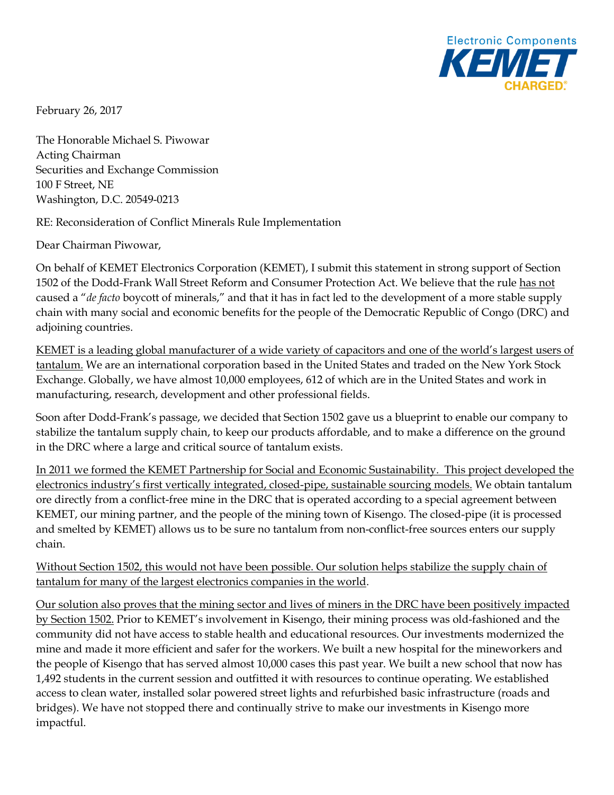

February 26, 2017

The Honorable Michael S. Piwowar Acting Chairman Securities and Exchange Commission 100 F Street, NE Washington, D.C. 20549-0213

RE: Reconsideration of Conflict Minerals Rule Implementation

Dear Chairman Piwowar,

On behalf of KEMET Electronics Corporation (KEMET), I submit this statement in strong support of Section 1502 of the Dodd-Frank Wall Street Reform and Consumer Protection Act. We believe that the rule has not caused a "*de facto* boycott of minerals," and that it has in fact led to the development of a more stable supply chain with many social and economic benefits for the people of the Democratic Republic of Congo (DRC) and adjoining countries.

KEMET is a leading global manufacturer of a wide variety of capacitors and one of the world's largest users of tantalum. We are an international corporation based in the United States and traded on the New York Stock Exchange. Globally, we have almost 10,000 employees, 612 of which are in the United States and work in manufacturing, research, development and other professional fields.

Soon after Dodd-Frank's passage, we decided that Section 1502 gave us a blueprint to enable our company to stabilize the tantalum supply chain, to keep our products affordable, and to make a difference on the ground in the DRC where a large and critical source of tantalum exists.

In 2011 we formed the KEMET Partnership for Social and Economic Sustainability. This project developed the electronics industry's first vertically integrated, closed-pipe, sustainable sourcing models. We obtain tantalum ore directly from a conflict-free mine in the DRC that is operated according to a special agreement between KEMET, our mining partner, and the people of the mining town of Kisengo. The closed-pipe (it is processed and smelted by KEMET) allows us to be sure no tantalum from non-conflict-free sources enters our supply chain.

Without Section 1502, this would not have been possible. Our solution helps stabilize the supply chain of tantalum for many of the largest electronics companies in the world.

Our solution also proves that the mining sector and lives of miners in the DRC have been positively impacted by Section 1502. Prior to KEMET's involvement in Kisengo, their mining process was old-fashioned and the community did not have access to stable health and educational resources. Our investments modernized the mine and made it more efficient and safer for the workers. We built a new hospital for the mineworkers and the people of Kisengo that has served almost 10,000 cases this past year. We built a new school that now has 1,492 students in the current session and outfitted it with resources to continue operating. We established access to clean water, installed solar powered street lights and refurbished basic infrastructure (roads and bridges). We have not stopped there and continually strive to make our investments in Kisengo more impactful.